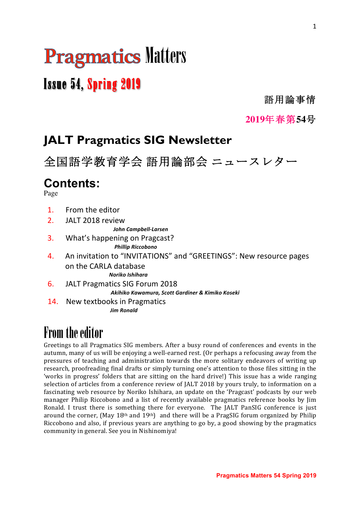# **Pragmatics Matters**

# Issue 54, Spring 2019

語用論事情

**2019**年春第**54**号

# **JALT Pragmatics SIG Newsletter**

全国語学教育学会 語用論部会 ニュースレター

# **Contents:**

Page

- 1 From the editor
- 2. JALT 2018 review

 *John Campbell-Larsen*

- 3. What's happening on Pragcast? *Phillip Riccobono*
- 4. An invitation to "INVITATIONS" and "GREETINGS": New resource pages on the CARLA database *Noriko Ishihara*
- 6. JALT Pragmatics SIG Forum 2018<br> *Akihiko Kawamura, Scott Gardiner & Kimiko Koseki*
- 14. New textbooks in Pragmatics<br>*Jim Ronald*

# From the editor

Greetings to all Pragmatics SIG members. After a busy round of conferences and events in the autumn, many of us will be enjoying a well-earned rest. (Or perhaps a refocusing away from the pressures of teaching and administration towards the more solitary endeavors of writing up research, proofreading final drafts or simply turning one's attention to those files sitting in the 'works in progress' folders that are sitting on the hard drive!) This issue has a wide ranging selection of articles from a conference review of JALT 2018 by yours truly, to information on a fascinating web resource by Noriko Ishihara, an update on the 'Pragcast' podcasts by our web manager Philip Riccobono and a list of recently available pragmatics reference books by Jim Ronald. I trust there is something there for everyone. The JALT PanSIG conference is just around the corner, (May 18<sup>th</sup> and 19<sup>th</sup>) and there will be a PragSIG forum organized by Philip Riccobono and also, if previous years are anything to go by, a good showing by the pragmatics community in general. See you in Nishinomiya!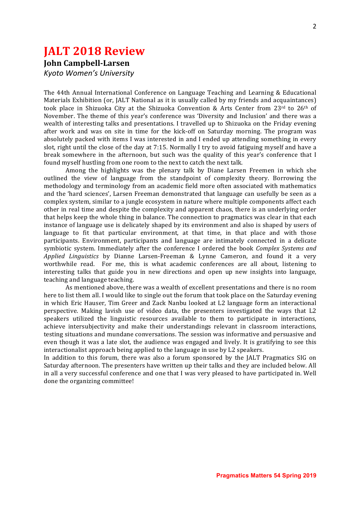### **JALT 2018 Review**

**John Campbell-Larsen**

*Kyoto Women's University* 

The 44th Annual International Conference on Language Teaching and Learning & Educational Materials Exhibition (or, JALT National as it is usually called by my friends and acquaintances) took place in Shizuoka City at the Shizuoka Convention & Arts Center from  $23^{rd}$  to  $26^{th}$  of November. The theme of this year's conference was 'Diversity and Inclusion' and there was a wealth of interesting talks and presentations. I travelled up to Shizuoka on the Fridav evening after work and was on site in time for the kick-off on Saturday morning. The program was absolutely packed with items I was interested in and I ended up attending something in every slot, right until the close of the day at 7:15. Normally I try to avoid fatiguing myself and have a break somewhere in the afternoon, but such was the quality of this year's conference that I found myself hustling from one room to the next to catch the next talk.

Among the highlights was the plenary talk by Diane Larsen Freemen in which she outlined the view of language from the standpoint of complexity theory. Borrowing the methodology and terminology from an academic field more often associated with mathematics and the 'hard sciences', Larsen Freeman demonstrated that language can usefully be seen as a complex system, similar to a jungle ecosystem in nature where multiple components affect each other in real time and despite the complexity and apparent chaos, there is an underlying order that helps keep the whole thing in balance. The connection to pragmatics was clear in that each instance of language use is delicately shaped by its environment and also is shaped by users of language to fit that particular environment, at that time, in that place and with those participants. Environment, participants and language are intimately connected in a delicate symbiotic system. Immediately after the conference I ordered the book *Complex Systems and Applied Linguistics* by Dianne Larsen-Freeman & Lynne Cameron, and found it a very worthwhile read. For me, this is what academic conferences are all about, listening to interesting talks that guide you in new directions and open up new insights into language, teaching and language teaching.

As mentioned above, there was a wealth of excellent presentations and there is no room here to list them all. I would like to single out the forum that took place on the Saturday evening in which Eric Hauser, Tim Greer and Zack Nanbu looked at L2 language form an interactional perspective. Making lavish use of video data, the presenters investigated the ways that L2 speakers utilized the linguistic resources available to them to participate in interactions, achieve intersubjectivity and make their understandings relevant in classroom interactions, testing situations and mundane conversations. The session was informative and persuasive and even though it was a late slot, the audience was engaged and lively. It is gratifying to see this interactionalist approach being applied to the language in use by L2 speakers.

In addition to this forum, there was also a forum sponsored by the JALT Pragmatics SIG on Saturday afternoon. The presenters have written up their talks and they are included below. All in all a very successful conference and one that I was very pleased to have participated in. Well done the organizing committee!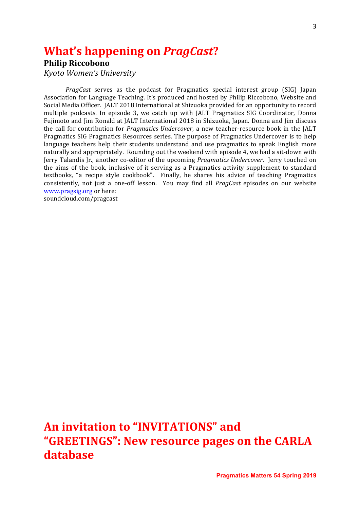### **What's happening on PragCast?**

### **Philip Riccobono**

*Kyoto Women's University*

*PragCast* serves as the podcast for Pragmatics special interest group (SIG) Japan Association for Language Teaching. It's produced and hosted by Philip Riccobono, Website and Social Media Officer. [ALT 2018 International at Shizuoka provided for an opportunity to record multiple podcasts. In episode 3, we catch up with JALT Pragmatics SIG Coordinator, Donna Fujimoto and Jim Ronald at JALT International 2018 in Shizuoka, Japan. Donna and Jim discuss the call for contribution for *Pragmatics Undercover*, a new teacher-resource book in the JALT Pragmatics SIG Pragmatics Resources series. The purpose of Pragmatics Undercover is to help language teachers help their students understand and use pragmatics to speak English more naturally and appropriately. Rounding out the weekend with episode 4, we had a sit-down with Jerry Talandis Jr., another co-editor of the upcoming *Pragmatics Undercover*. Jerry touched on the aims of the book, inclusive of it serving as a Pragmatics activity supplement to standard textbooks, "a recipe style cookbook". Finally, he shares his advice of teaching Pragmatics consistently, not just a one-off lesson. You may find all *PragCast* episodes on our website www.pragsig.org or here:

soundcloud.com/pragcast

## **An invitation to "INVITATIONS" and** "GREETINGS": New resource pages on the CARLA **database**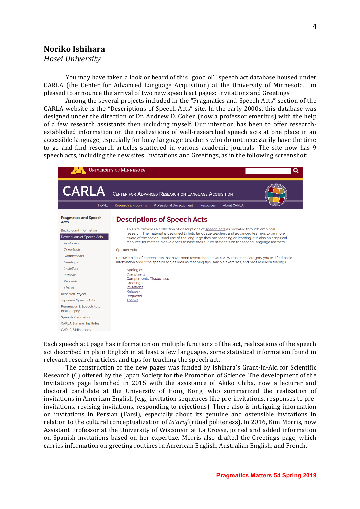### **Noriko Ishihara**

*Hosei University*

You may have taken a look or heard of this "good ol'" speech act database housed under CARLA (the Center for Advanced Language Acquisition) at the University of Minnesota. I'm pleased to announce the arrival of two new speech act pages: Invitations and Greetings.

Among the several projects included in the "Pragmatics and Speech Acts" section of the CARLA website is the "Descriptions of Speech Acts" site. In the early 2000s, this database was designed under the direction of Dr. Andrew D. Cohen (now a professor emeritus) with the help of a few research assistants then including myself. Our intention has been to offer researchestablished information on the realizations of well-researched speech acts at one place in an accessible language, especially for busy language teachers who do not necessarily have the time to go and find research articles scattered in various academic journals. The site now has 9 speech acts, including the new sites, Invitations and Greetings, as in the following screenshot:



Each speech act page has information on multiple functions of the act, realizations of the speech act described in plain English in at least a few languages, some statistical information found in relevant research articles, and tips for teaching the speech act.

The construction of the new pages was funded by Ishihara's Grant-in-Aid for Scientific Research  $(C)$  offered by the Japan Society for the Promotion of Science. The development of the Invitations page launched in 2015 with the assistance of Akiko Chiba, now a lecturer and doctoral candidate at the University of Hong Kong, who summarized the realization of invitations in American English (e.g., invitation sequences like pre-invitations, responses to preinvitations, revising invitations, responding to rejections). There also is intriguing information on invitations in Persian (Farsi), especially about its genuine and ostensible invitations in relation to the cultural conceptualization of ta'arof (ritual politeness). In 2016, Kim Morris, now Assistant Professor at the University of Wisconsin at La Crosse, joined and added information on Spanish invitations based on her expertize. Morris also drafted the Greetings page, which carries information on greeting routines in American English, Australian English, and French.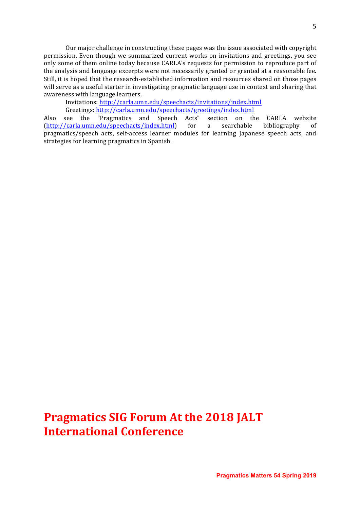Our major challenge in constructing these pages was the issue associated with copyright permission. Even though we summarized current works on invitations and greetings, you see only some of them online today because CARLA's requests for permission to reproduce part of the analysis and language excerpts were not necessarily granted or granted at a reasonable fee. Still, it is hoped that the research-established information and resources shared on those pages will serve as a useful starter in investigating pragmatic language use in context and sharing that awareness with language learners.

Invitations: http://carla.umn.edu/speechacts/invitations/index.html

Greetings: http://carla.umn.edu/speechacts/greetings/index.html

Also see the "Pragmatics and Speech Acts" section on the CARLA website (http://carla.umn.edu/speechacts/index.html) for a searchable bibliography of pragmatics/speech acts, self-access learner modules for learning Japanese speech acts, and strategies for learning pragmatics in Spanish.

### **Pragmatics SIG Forum At the 2018 JALT International Conference**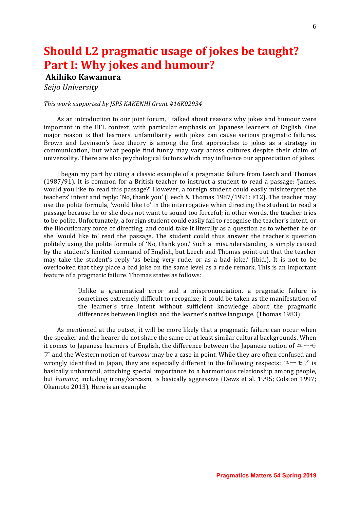## **Should L2 pragmatic usage of jokes be taught? Part I: Why jokes and humour?**

### **Akihiko Kawamura**

*Seijo University*

#### This work supported by JSPS KAKENHI Grant #16K02934

As an introduction to our joint forum, I talked about reasons why jokes and humour were important in the EFL context, with particular emphasis on Japanese learners of English. One major reason is that learners' unfamiliarity with jokes can cause serious pragmatic failures. Brown and Levinson's face theory is among the first approaches to jokes as a strategy in communication, but what people find funny may vary across cultures despite their claim of universality. There are also psychological factors which may influence our appreciation of jokes.

I began my part by citing a classic example of a pragmatic failure from Leech and Thomas (1987/91). It is common for a British teacher to instruct a student to read a passage: 'James, would you like to read this passage?' However, a foreign student could easily misinterpret the teachers' intent and reply: 'No, thank you' (Leech & Thomas 1987/1991: F12). The teacher may use the polite formula, 'would like to' in the interrogative when directing the student to read a passage because he or she does not want to sound too forceful; in other words, the teacher tries to be polite. Unfortunately, a foreign student could easily fail to recognise the teacher's intent, or the illocutionary force of directing, and could take it literally as a question as to whether he or she 'would like to' read the passage. The student could thus answer the teacher's question politely using the polite formula of 'No, thank you.' Such a misunderstanding is simply caused by the student's limited command of English, but Leech and Thomas point out that the teacher may take the student's reply 'as being very rude, or as a bad joke.' (ibid.). It is not to be overlooked that they place a bad joke on the same level as a rude remark. This is an important feature of a pragmatic failure. Thomas states as follows:

> Unlike a grammatical error and a mispronunciation, a pragmatic failure is sometimes extremely difficult to recognize; it could be taken as the manifestation of the learner's true intent without sufficient knowledge about the pragmatic differences between English and the learner's native language. (Thomas 1983)

As mentioned at the outset, it will be more likely that a pragmatic failure can occur when the speaker and the hearer do not share the same or at least similar cultural backgrounds. When it comes to Japanese learners of English, the difference between the Japanese notion of  $\perp \perp \pm$  $\mathcal T$  and the Western notion of *humour* may be a case in point. While they are often confused and wrongly identified in Japan, they are especially different in the following respects:  $\Delta \rightarrow \mp \gamma$  is basically unharmful, attaching special importance to a harmonious relationship among people, but *humour*, including irony/sarcasm, is basically aggressive (Dews et al. 1995; Colston 1997; Okamoto 2013). Here is an example: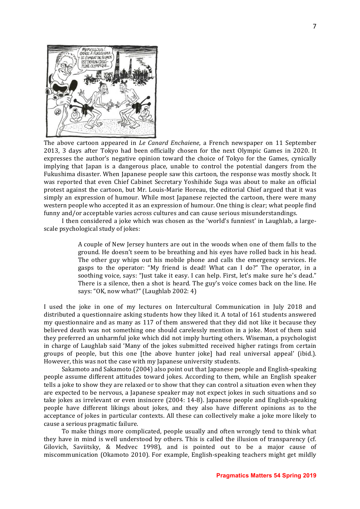

The above cartoon appeared in *Le Canard Enchaiene*, a French newspaper on 11 September 2013, 3 days after Tokyo had been officially chosen for the next Olympic Games in 2020. It expresses the author's negative opinion toward the choice of Tokyo for the Games, cynically implying that Iapan is a dangerous place, unable to control the potential dangers from the Fukushima disaster. When Japanese people saw this cartoon, the response was mostly shock. It was reported that even Chief Cabinet Secretary Yoshihide Suga was about to make an official protest against the cartoon, but Mr. Louis-Marie Horeau, the editorial Chief argued that it was simply an expression of humour. While most Japanese rejected the cartoon, there were many western people who accepted it as an expression of humour. One thing is clear; what people find funny and/or acceptable varies across cultures and can cause serious misunderstandings.

I then considered a joke which was chosen as the 'world's funniest' in Laughlab, a largescale psychological study of jokes:

> A couple of New Jersey hunters are out in the woods when one of them falls to the ground. He doesn't seem to be breathing and his eyes have rolled back in his head. The other guy whips out his mobile phone and calls the emergency services. He gasps to the operator: "My friend is dead! What can I do?" The operator, in a soothing voice, says: "Just take it easy. I can help. First, let's make sure he's dead." There is a silence, then a shot is heard. The guy's voice comes back on the line. He says: "OK, now what?" (Laughlab 2002: 4)

I used the joke in one of my lectures on Intercultural Communication in July 2018 and distributed a questionnaire asking students how they liked it. A total of 161 students answered my questionnaire and as many as 117 of them answered that they did not like it because they believed death was not something one should carelessly mention in a joke. Most of them said they preferred an unharmful joke which did not imply hurting others. Wiseman, a psychologist in charge of Laughlab said 'Many of the jokes submitted received higher ratings from certain groups of people, but this one [the above hunter joke] had real universal appeal' (ibid.). However, this was not the case with my Japanese university students.

Sakamoto and Sakamoto (2004) also point out that Japanese people and English-speaking people assume different attitudes toward jokes. According to them, while an English speaker tells a joke to show they are relaxed or to show that they can control a situation even when they are expected to be nervous, a Japanese speaker may not expect jokes in such situations and so take jokes as irrelevant or even insincere  $(2004: 14-8)$ . Japanese people and English-speaking people have different likings about jokes, and they also have different opinions as to the acceptance of jokes in particular contexts. All these can collectively make a joke more likely to cause a serious pragmatic failure.

To make things more complicated, people usually and often wrongly tend to think what they have in mind is well understood by others. This is called the illusion of transparency (cf. Gilovich, Saviitsky, & Medvec 1998), and is pointed out to be a major cause of miscommunication (Okamoto 2010). For example, English-speaking teachers might get mildly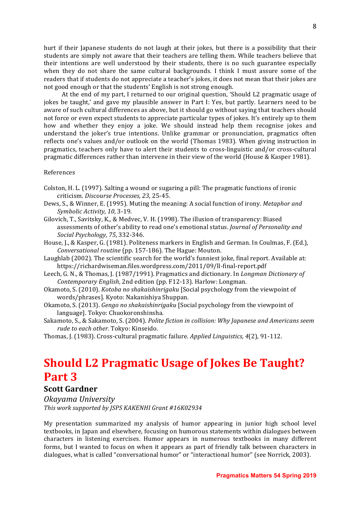hurt if their Japanese students do not laugh at their jokes, but there is a possibility that their students are simply not aware that their teachers are telling them. While teachers believe that their intentions are well understood by their students, there is no such guarantee especially when they do not share the same cultural backgrounds. I think I must assure some of the readers that if students do not appreciate a teacher's jokes, it does not mean that their jokes are not good enough or that the students' English is not strong enough.

At the end of my part, I returned to our original question, 'Should L2 pragmatic usage of jokes be taught,' and gave my plausible answer in Part I: Yes, but partly. Learners need to be aware of such cultural differences as above, but it should go without saying that teachers should not force or even expect students to appreciate particular types of jokes. It's entirely up to them how and whether they enjoy a joke. We should instead help them recognise jokes and understand the joker's true intentions. Unlike grammar or pronunciation, pragmatics often reflects one's values and/or outlook on the world (Thomas 1983). When giving instruction in pragmatics, teachers only have to alert their students to cross-linguistic and/or cross-cultural pragmatic differences rather than intervene in their view of the world (House & Kasper 1981).

#### References

- Colston, H. L. (1997). Salting a wound or sugaring a pill: The pragmatic functions of ironic criticism. *Discourse Processes, 23*, 25-45.
- Dews, S., & Winner, E. (1995). Muting the meaning: A social function of irony. *Metaphor and Symbolic Activity, 10, 3-19.*
- Gilovich, T., Savitsky, K., & Medvec, V. H. (1998). The illusion of transparency: Biased assessments of other's ability to read one's emotional status. *Journal of Personality and Social Psychology, 75*, 332-346.
- House, I., & Kasper, G. (1981). Politeness markers in English and German. In Coulmas, F. (Ed.). *Conversational routine* (pp. 157-186). The Hague: Mouton.
- Laughlab (2002). The scientific search for the world's funniest joke, final report. Available at: https://richardwiseman.files.wordpress.com/2011/09/ll-final-report.pdf
- Leech, G. N., & Thomas, J. (1987/1991). Pragmatics and dictionary. In *Longman Dictionary of Contemporary English, 2nd edition* (pp. F12-13). Harlow: Longman.
- Okamoto, S. (2010). *Kotoba no shakaishinrigaku* [Social psychology from the viewpoint of words/phrases]. Kyoto: Nakanishiya Shuppan.
- Okamoto, S. (2013). *Gengo no shakaishinrigaku* [Social psychology from the viewpoint of language]. Tokyo: Chuokoronshinsha.
- Sakamoto, S., & Sakamoto, S. (2004). *Polite fiction in collision: Why Japanese and Americans seem rude to each other.* Tokyo: Kinseido.
- Thomas, J. (1983). Cross-cultural pragmatic failure. *Applied Linguistics,* 4(2), 91-112.

### **Should L2 Pragmatic Usage of Jokes Be Taught? Part 3**

### **Scott Gardner**

*Okayama University* This work supported by *JSPS KAKENHI Grant #16K02934* 

My presentation summarized my analysis of humor appearing in junior high school level textbooks, in Japan and elsewhere, focusing on humorous statements within dialogues between characters in listening exercises. Humor appears in numerous textbooks in many different forms, but I wanted to focus on when it appears as part of friendly talk between characters in dialogues, what is called "conversational humor" or "interactional humor" (see Norrick, 2003).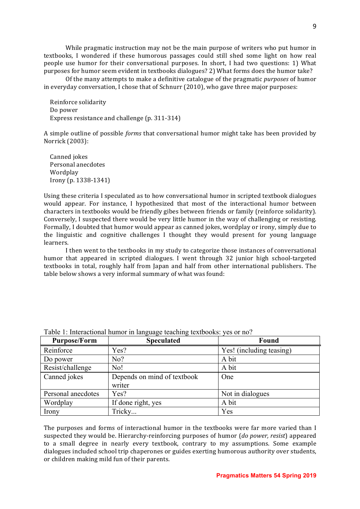While pragmatic instruction may not be the main purpose of writers who put humor in textbooks, I wondered if these humorous passages could still shed some light on how real people use humor for their conversational purposes. In short, I had two questions: 1) What purposes for humor seem evident in textbooks dialogues? 2) What forms does the humor take?

Of the many attempts to make a definitive catalogue of the pragmatic *purposes* of humor in everyday conversation, I chose that of Schnurr  $(2010)$ , who gave three major purposes:

Reinforce solidarity Do power Express resistance and challenge (p. 311-314)

A simple outline of possible *forms* that conversational humor might take has been provided by Norrick (2003):

Canned jokes Personal anecdotes Wordplay Irony (p. 1338-1341)

Using these criteria I speculated as to how conversational humor in scripted textbook dialogues would appear. For instance, I hypothesized that most of the interactional humor between characters in textbooks would be friendly gibes between friends or family (reinforce solidarity). Conversely, I suspected there would be very little humor in the way of challenging or resisting. Formally, I doubted that humor would appear as canned jokes, wordplay or irony, simply due to the linguistic and cognitive challenges I thought they would present for young language learners.

I then went to the textbooks in my study to categorize those instances of conversational humor that appeared in scripted dialogues. I went through 32 junior high school-targeted textbooks in total, roughly half from Japan and half from other international publishers. The table below shows a very informal summary of what was found:

| <b>Purpose/Form</b> | -8---8-<br><b>Speculated</b>          | <b>Found</b>             |
|---------------------|---------------------------------------|--------------------------|
| Reinforce           | Yes?                                  | Yes! (including teasing) |
| Do power            | No?                                   | A bit                    |
| Resist/challenge    | No!                                   | A bit                    |
| Canned jokes        | Depends on mind of textbook<br>writer | One                      |
| Personal anecdotes  | Yes?                                  | Not in dialogues         |
| Wordplay            | If done right, yes                    | A bit                    |
| Irony               | Tricky                                | Yes                      |

Table 1: Interactional humor in language teaching textbooks: yes or no?

The purposes and forms of interactional humor in the textbooks were far more varied than I suspected they would be. Hierarchy-reinforcing purposes of humor (*do power, resist*) appeared to a small degree in nearly every textbook, contrary to my assumptions. Some example dialogues included school trip chaperones or guides exerting humorous authority over students, or children making mild fun of their parents.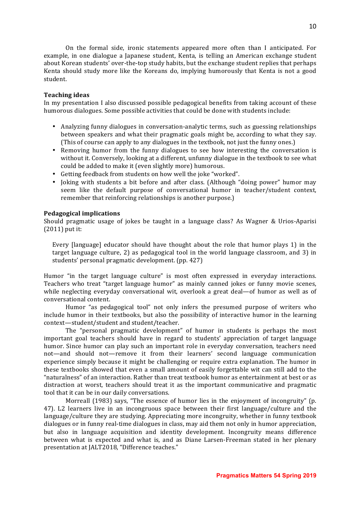On the formal side, ironic statements appeared more often than I anticipated. For example, in one dialogue a Japanese student, Kenta, is telling an American exchange student about Korean students' over-the-top study habits, but the exchange student replies that perhaps Kenta should study more like the Koreans do, implying humorously that Kenta is not a good student. 

#### **Teaching ideas**

In my presentation I also discussed possible pedagogical benefits from taking account of these humorous dialogues. Some possible activities that could be done with students include:

- Analyzing funny dialogues in conversation-analytic terms, such as guessing relationships between speakers and what their pragmatic goals might be, according to what they say. (This of course can apply to any dialogues in the textbook, not just the funny ones.)
- Removing humor from the funny dialogues to see how interesting the conversation is without it. Conversely, looking at a different, unfunny dialogue in the textbook to see what could be added to make it (even slightly more) humorous.
- Getting feedback from students on how well the joke "worked".
- Joking with students a bit before and after class. (Although "doing power" humor may seem like the default purpose of conversational humor in teacher/student context, remember that reinforcing relationships is another purpose.)

#### **Pedagogical implications**

Should pragmatic usage of jokes be taught in a language class? As Wagner & Urios-Aparisi  $(2011)$  put it:

Every  $\lceil$ language $\rceil$  educator should have thought about the role that humor plays 1) in the target language culture,  $2$ ) as pedagogical tool in the world language classroom, and  $3$ ) in students' personal pragmatic development. (pp. 427)

Humor "in the target language culture" is most often expressed in everyday interactions. Teachers who treat "target language humor" as mainly canned jokes or funny movie scenes, while neglecting everyday conversational wit, overlook a great deal—of humor as well as of conversational content.

Humor "as pedagogical tool" not only infers the presumed purpose of writers who include humor in their textbooks, but also the possibility of interactive humor in the learning context-student/student and student/teacher.

The "personal pragmatic development" of humor in students is perhaps the most important goal teachers should have in regard to students' appreciation of target language humor. Since humor can play such an important role in everyday conversation, teachers need not—and should not—remove it from their learners' second language communication experience simply because it might be challenging or require extra explanation. The humor in these textbooks showed that even a small amount of easily forgettable wit can still add to the "naturalness" of an interaction. Rather than treat textbook humor as entertainment at best or as distraction at worst, teachers should treat it as the important communicative and pragmatic tool that it can be in our daily conversations.

Morreall (1983) says, "The essence of humor lies in the enjoyment of incongruity" (p. 47). L2 learners live in an incongruous space between their first language/culture and the language/culture they are studying. Appreciating more incongruity, whether in funny textbook dialogues or in funny real-time dialogues in class, may aid them not only in humor appreciation, but also in language acquisition and identity development. Incongruity means difference between what is expected and what is, and as Diane Larsen-Freeman stated in her plenary presentation at JALT2018, "Difference teaches."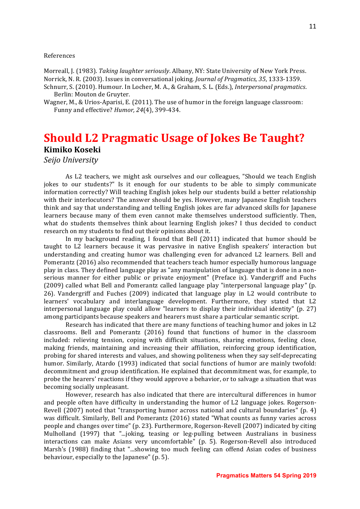#### References

Morreall, J. (1983). *Taking laughter seriously*. Albany, NY: State University of New York Press. Norrick, N. R. (2003). Issues in conversational joking. *Journal of Pragmatics, 35*, 1333-1359. Schnurr, S. (2010). Humour. In Locher, M. A., & Graham, S. L. (Eds.), *Interpersonal pragmatics*.

- Berlin: Mouton de Gruyter.
- Wagner, M., & Urios-Aparisi, E. (2011). The use of humor in the foreign language classroom: Funny and effective? *Humor, 24*(4), 399-434.

### **Should L2 Pragmatic Usage of Jokes Be Taught? Kimiko Koseki**

*Seijo University*

As L2 teachers, we might ask ourselves and our colleagues, "Should we teach English jokes to our students?" Is it enough for our students to be able to simply communicate information correctly? Will teaching English jokes help our students build a better relationship with their interlocutors? The answer should be yes. However, many Japanese English teachers think and say that understanding and telling English jokes are far advanced skills for Japanese learners because many of them even cannot make themselves understood sufficiently. Then, what do students themselves think about learning English jokes? I thus decided to conduct research on my students to find out their opinions about it.

In my background reading, I found that Bell  $(2011)$  indicated that humor should be taught to L2 learners because it was pervasive in native English speakers' interaction but understanding and creating humor was challenging even for advanced L2 learners. Bell and Pomerantz (2016) also recommended that teachers teach humor especially humorous language play in class. They defined language play as "any manipulation of language that is done in a nonserious manner for either public or private enjoyment" (Preface ix). Vandergriff and Fuchs (2009) called what Bell and Pomerantz called language play "interpersonal language play" (p. 26). Vandergriff and Fuches (2009) indicated that language play in L2 would contribute to learners' vocabulary and interlanguage development. Furthermore, they stated that L2 interpersonal language play could allow "learners to display their individual identity"  $(p. 27)$ among participants because speakers and hearers must share a particular semantic script.

Research has indicated that there are many functions of teaching humor and jokes in L2 classrooms. Bell and Pomerantz (2016) found that functions of humor in the classroom included: relieving tension, coping with difficult situations, sharing emotions, feeling close, making friends, maintaining and increasing their affiliation, reinforcing group identification, probing for shared interests and values, and showing politeness when they say self-deprecating humor. Similarly, Atardo (1993) indicated that social functions of humor are mainly twofold: decommitment and group identification. He explained that decommitment was, for example, to probe the hearers' reactions if they would approve a behavior, or to salvage a situation that was becoming socially unpleasant.

However, research has also indicated that there are intercultural differences in humor and people often have difficulty in understanding the humor of L2 language jokes. Rogerson-Revell (2007) noted that "transporting humor across national and cultural boundaries" (p. 4) was difficult. Similarly, Bell and Pomerantz (2016) stated "What counts as funny varies across people and changes over time" (p. 23). Furthermore, Rogerson-Revell (2007) indicated by citing Mulholland (1997) that "...joking, teasing or leg-pulling between Australians in business interactions can make Asians very uncomfortable" (p. 5). Rogerson-Revell also introduced Marsh's (1988) finding that "...showing too much feeling can offend Asian codes of business behaviour, especially to the Japanese" (p. 5).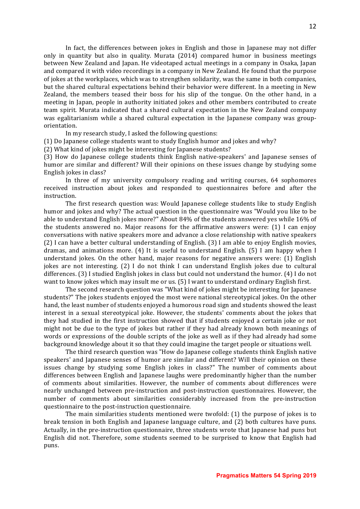In fact, the differences between jokes in English and those in Japanese may not differ only in quantity but also in quality. Murata  $(2014)$  compared humor in business meetings between New Zealand and Japan. He videotaped actual meetings in a company in Osaka, Japan and compared it with video recordings in a company in New Zealand. He found that the purpose of jokes at the workplaces, which was to strengthen solidarity, was the same in both companies, but the shared cultural expectations behind their behavior were different. In a meeting in New Zealand, the members teased their boss for his slip of the tongue. On the other hand, in a meeting in Japan, people in authority initiated jokes and other members contributed to create team spirit. Murata indicated that a shared cultural expectation in the New Zealand company was egalitarianism while a shared cultural expectation in the Japanese company was grouporientation. 

In my research study, I asked the following questions:

(1) Do Japanese college students want to study English humor and jokes and why?

(2) What kind of jokes might be interesting for Japanese students?

(3) How do Japanese college students think English native-speakers' and Japanese senses of humor are similar and different? Will their opinions on these issues change by studying some English jokes in class?

In three of my university compulsory reading and writing courses, 64 sophomores received instruction about jokes and responded to questionnaires before and after the instruction.

The first research question was: Would Japanese college students like to study English humor and jokes and why? The actual question in the questionnaire was "Would you like to be able to understand English jokes more?" About  $84\%$  of the students answered yes while  $16\%$  of the students answered no. Major reasons for the affirmative answers were:  $(1)$  I can enjoy conversations with native speakers more and advance a close relationship with native speakers  $(2)$  I can have a better cultural understanding of English.  $(3)$  I am able to enjoy English movies, dramas, and animations more.  $(4)$  It is useful to understand English.  $(5)$  I am happy when I understand jokes. On the other hand, major reasons for negative answers were: (1) English jokes are not interesting.  $(2)$  I do not think I can understand English jokes due to cultural differences. (3) I studied English jokes in class but could not understand the humor. (4) I do not want to know jokes which may insult me or us.  $(5)$  I want to understand ordinary English first.

The second research question was "What kind of jokes might be interesting for Japanese students?" The jokes students enjoyed the most were national stereotypical jokes. On the other hand, the least number of students enjoyed a humorous road sign and students showed the least interest in a sexual stereotypical joke. However, the students' comments about the jokes that they had studied in the first instruction showed that if students enjoyed a certain joke or not might not be due to the type of jokes but rather if they had already known both meanings of words or expressions of the double scripts of the joke as well as if they had already had some background knowledge about it so that they could imagine the target people or situations well.

The third research question was "How do Japanese college students think English native speakers' and Japanese senses of humor are similar and different? Will their opinion on these issues change by studying some English jokes in class?" The number of comments about differences between English and Japanese laughs were predominantly higher than the number of comments about similarities. However, the number of comments about differences were nearly unchanged between pre-instruction and post-instruction questionnaires. However, the number of comments about similarities considerably increased from the pre-instruction questionnaire to the post-instruction questionnaire.

The main similarities students mentioned were twofold: (1) the purpose of jokes is to break tension in both English and Japanese language culture, and (2) both cultures have puns. Actually, in the pre-instruction questionnaire, three students wrote that Japanese had puns but English did not. Therefore, some students seemed to be surprised to know that English had puns.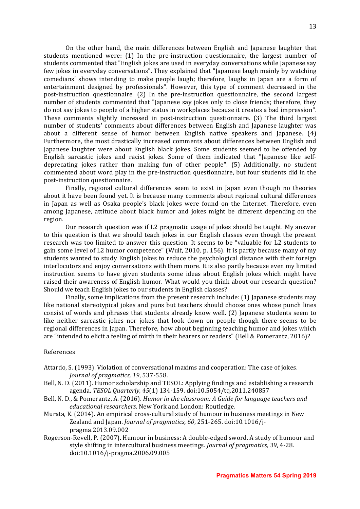On the other hand, the main differences between English and Japanese laughter that students mentioned were:  $(1)$  In the pre-instruction questionnaire, the largest number of students commented that "English jokes are used in everyday conversations while Japanese say few jokes in everyday conversations". They explained that "Japanese laugh mainly by watching comedians' shows intending to make people laugh; therefore, laughs in Japan are a form of entertainment designed by professionals". However, this type of comment decreased in the post-instruction questionnaire.  $(2)$  In the pre-instruction questionnaire, the second largest number of students commented that "Japanese say jokes only to close friends; therefore, they do not say jokes to people of a higher status in workplaces because it creates a bad impression". These comments slightly increased in post-instruction questionnaire. (3) The third largest number of students' comments about differences between English and Japanese laughter was about a different sense of humor between English native speakers and Japanese.  $(4)$ Furthermore, the most drastically increased comments about differences between English and Japanese laughter were about English black jokes. Some students seemed to be offended by English sarcastic jokes and racist jokes. Some of them indicated that "Japanese like selfdeprecating jokes rather than making fun of other people".  $(5)$  Additionally, no student commented about word play in the pre-instruction questionnaire, but four students did in the post-instruction questionnaire.

Finally, regional cultural differences seem to exist in Japan even though no theories about it have been found yet. It is because many comments about regional cultural differences in Japan as well as Osaka people's black jokes were found on the Internet. Therefore, even among Japanese, attitude about black humor and jokes might be different depending on the region.

Our research question was if L2 pragmatic usage of jokes should be taught. My answer to this question is that we should teach jokes in our English classes even though the present research was too limited to answer this question. It seems to be "valuable for L2 students to gain some level of L2 humor competence" (Wulf, 2010, p. 156). It is partly because many of my students wanted to study English jokes to reduce the psychological distance with their foreign interlocutors and enjoy conversations with them more. It is also partly because even my limited instruction seems to have given students some ideas about English jokes which might have raised their awareness of English humor. What would you think about our research question? Should we teach English jokes to our students in English classes?

Finally, some implications from the present research include:  $(1)$  Japanese students may like national stereotypical jokes and puns but teachers should choose ones whose punch lines consist of words and phrases that students already know well. (2) Japanese students seem to like neither sarcastic jokes nor jokes that look down on people though there seems to be regional differences in Japan. Therefore, how about beginning teaching humor and jokes which are "intended to elicit a feeling of mirth in their hearers or readers" (Bell & Pomerantz, 2016)?

#### References

- Attardo, S. (1993). Violation of conversational maxims and cooperation: The case of jokes. *Journal of pragmatics, 19, 537-558.*
- Bell, N. D. (2011). Humor scholarship and TESOL: Applying findings and establishing a research agenda. *TESOL Quarterly, 45*(1) 134-159. doi:10.5054/tq.2011.240857
- Bell, N. D., & Pomerantz, A. (2016). *Humor in the classroom:* A Guide for language teachers and *educational researchers*. New York and London: Routledge.
- Murata, K. (2014). An empirical cross-cultural study of humour in business meetings in New Zealand and Japan. *Journal of pragmatics, 60*, 251-265. doi:10.1016/jpragma.2013.09.002
- Rogerson-Revell, P. (2007). Humour in business: A double-edged sword. A study of humour and style shifting in intercultural business meetings. *Journal of pragmatics*, 39, 4-28. doi:10.1016/j-pragma.2006.09.005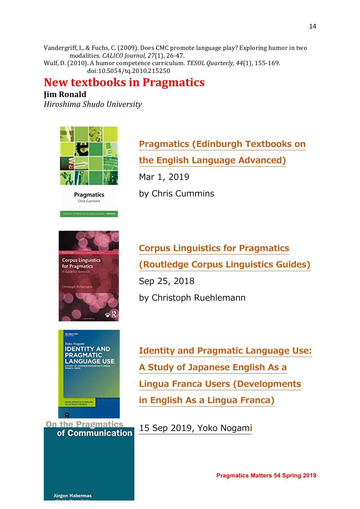Vandergriff, I., & Fuchs, C. (2009). Does CMC promote language play? Exploring humor in two modalities. *CALICO Journal*, 27(1), 26-47.

Wulf, D. (2010). A humor competence curriculum. *TESOL Quarterly, 44*(1), 155-169. doi:10.5054/tq.2010.215250

### **New textbooks in Pragmatics**

### **Jim Ronald**

*Hiroshima Shudo University*







**Pragmatics (Edinburgh Textbooks on the English Language Advanced)** Mar 1, 2019

by Chris Cummins

**Corpus Linguistics for Pragmatics (Routledge Corpus Linguistics Guides)** Sep 25, 2018 by Christoph Ruehlemann



**Identity and Pragmatic Language Use: A Study of Japanese English As a Lingua Franca Users (Developments in English As a Lingua Franca)** 

15 Sep 2019, Yoko Nogam**i** 



**Jürgen Habermas** 

**Pragmatics Matters 54 Spring 2019**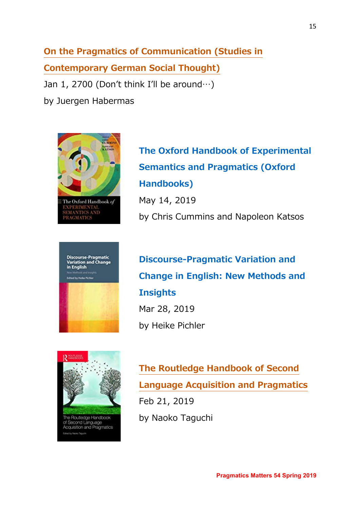**On the Pragmatics of Communication (Studies in Contemporary German Social Thought)** Jan 1, 2700 (Don't think I'll be around $\cdots$ ) by Juergen Habermas



**Discourse-Pragmatic<br>Variation and Change** in English

**The Oxford Handbook of Experimental Semantics and Pragmatics (Oxford Handbooks)** May 14, 2019 by Chris Cummins and Napoleon Katsos

**Discourse-Pragmatic Variation and Change in English: New Methods and Insights** Mar 28, 2019 by Heike Pichler



**The Routledge Handbook of Second Language Acquisition and Pragmatics**  Feb 21, 2019 by Naoko Taguchi